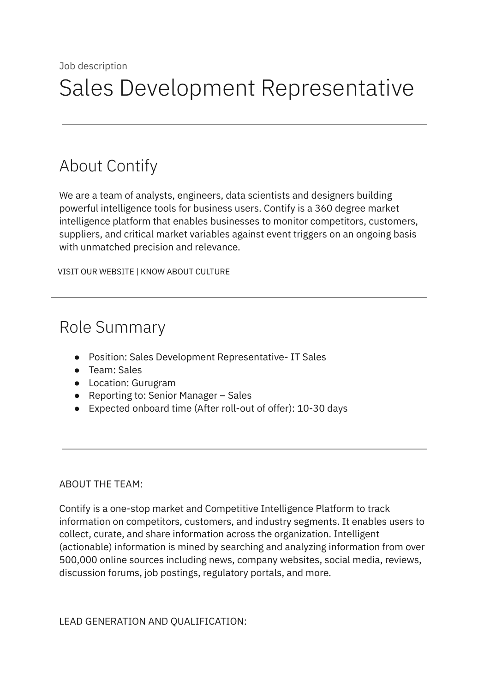# About Contify

We are a team of analysts, engineers, data scientists and designers building powerful intelligence tools for business users. Contify is a 360 degree market intelligence platform that enables businesses to monitor competitors, customers, suppliers, and critical market variables against event triggers on an ongoing basis with unmatched precision and relevance.

VISIT OUR [WEBSITE](http://contify.com/) | KNOW ABOUT [CULTURE](https://app.box.com/s/729fu9kwnix6x7g1ix0u)

## Role Summary

- Position: Sales Development Representative- IT Sales
- Team: Sales
- Location: Gurugram
- Reporting to: Senior Manager Sales
- Expected onboard time (After roll-out of offer): 10-30 days

#### ABOUT THE TEAM:

Contify is a one-stop market and Competitive Intelligence Platform to track information on competitors, customers, and industry segments. It enables users to collect, curate, and share information across the organization. Intelligent (actionable) information is mined by searching and analyzing information from over 500,000 online sources including news, company websites, social media, reviews, discussion forums, job postings, regulatory portals, and more.

LEAD GENERATION AND QUALIFICATION: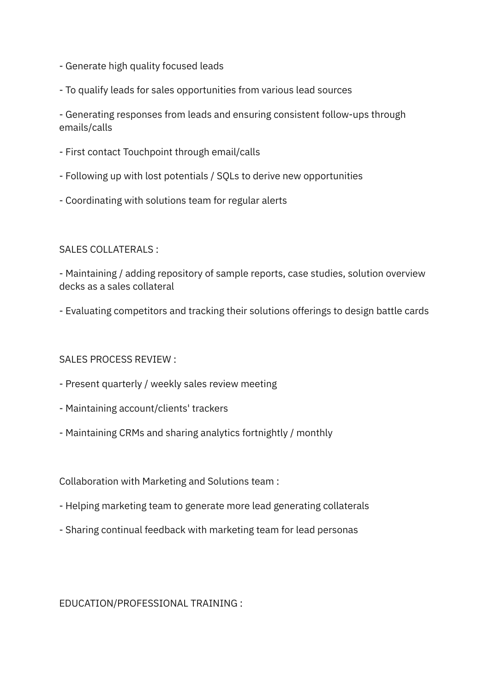- Generate high quality focused leads
- To qualify leads for sales opportunities from various lead sources

- Generating responses from leads and ensuring consistent follow-ups through emails/calls

- First contact Touchpoint through email/calls
- Following up with lost potentials / SQLs to derive new opportunities
- Coordinating with solutions team for regular alerts

## SALES COLLATERALS :

- Maintaining / adding repository of sample reports, case studies, solution overview decks as a sales collateral

- Evaluating competitors and tracking their solutions offerings to design battle cards

## SALES PROCESS REVIEW :

- Present quarterly / weekly sales review meeting
- Maintaining account/clients' trackers
- Maintaining CRMs and sharing analytics fortnightly / monthly

Collaboration with Marketing and Solutions team :

- Helping marketing team to generate more lead generating collaterals
- Sharing continual feedback with marketing team for lead personas

EDUCATION/PROFESSIONAL TRAINING :